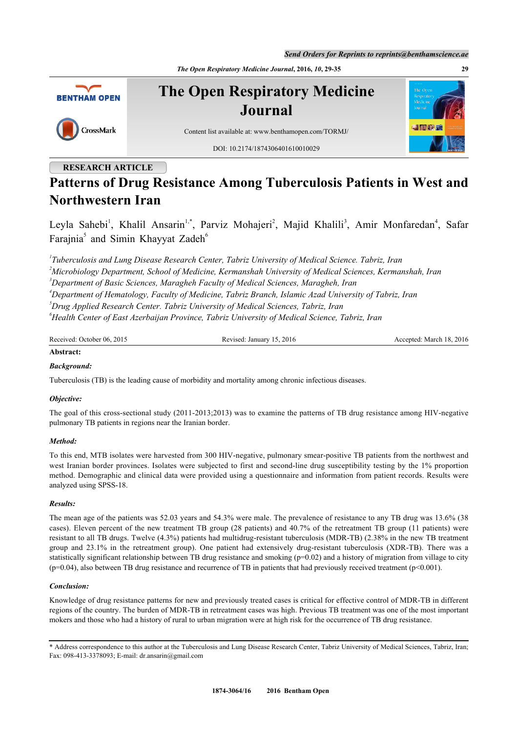*Send Orders for Reprints to reprints@benthamscience.ae*

*The Open Respiratory Medicine Journal***, 2016,** *10***, 29-35 29**



## **RESEARCH ARTICLE**

# **Patterns of Drug Resistance Among Tuberculosis Patients in West and Northwestern Iran**

Leyla Sahebi<sup>[1](#page-0-0)</sup>, Khalil Ansarin<sup>1,[\\*](#page-0-1)</sup>, Parviz Mohajeri<sup>[2](#page-0-2)</sup>, Majid Khalili<sup>[3](#page-0-3)</sup>, Amir Monfaredan<sup>[4](#page-0-4)</sup>, Safar Farajnia<sup>[5](#page-0-5)</sup> and Simin Khayyat Zadeh<sup>[6](#page--1-0)</sup>

<span id="page-0-3"></span><span id="page-0-2"></span><span id="page-0-0"></span> *Tuberculosis and Lung Disease Research Center, Tabriz University of Medical Science. Tabriz, Iran Microbiology Department, School of Medicine, Kermanshah University of Medical Sciences, Kermanshah, Iran Department of Basic Sciences, Maragheh Faculty of Medical Sciences, Maragheh, Iran Department of Hematology, Faculty of Medicine, Tabriz Branch, Islamic Azad University of Tabriz, Iran Drug Applied Research Center. Tabriz University of Medical Sciences, Tabriz, Iran Health Center of East Azerbaijan Province, Tabriz University of Medical Science, Tabriz, Iran*

<span id="page-0-5"></span><span id="page-0-4"></span>Received: October 06, 2015 Revised: January 15, 2016 Accepted: March 18, 2016

## **Abstract:**

## *Background:*

Tuberculosis (TB) is the leading cause of morbidity and mortality among chronic infectious diseases.

## *Objective:*

The goal of this cross-sectional study (2011-2013;2013) was to examine the patterns of TB drug resistance among HIV-negative pulmonary TB patients in regions near the Iranian border.

## *Method:*

To this end, MTB isolates were harvested from 300 HIV-negative, pulmonary smear-positive TB patients from the northwest and west Iranian border provinces. Isolates were subjected to first and second-line drug susceptibility testing by the 1% proportion method. Demographic and clinical data were provided using a questionnaire and information from patient records. Results were analyzed using SPSS-18.

## *Results:*

The mean age of the patients was 52.03 years and 54.3% were male. The prevalence of resistance to any TB drug was 13.6% (38 cases). Eleven percent of the new treatment TB group (28 patients) and 40.7% of the retreatment TB group (11 patients) were resistant to all TB drugs. Twelve (4.3%) patients had multidrug-resistant tuberculosis (MDR-TB) (2.38% in the new TB treatment group and 23.1% in the retreatment group). One patient had extensively drug-resistant tuberculosis (XDR-TB). There was a statistically significant relationship between TB drug resistance and smoking (p=0.02) and a history of migration from village to city  $(p=0.04)$ , also between TB drug resistance and recurrence of TB in patients that had previously received treatment  $(p<0.001)$ .

## *Conclusion:*

Knowledge of drug resistance patterns for new and previously treated cases is critical for effective control of MDR-TB in different regions of the country. The burden of MDR-TB in retreatment cases was high. Previous TB treatment was one of the most important mokers and those who had a history of rural to urban migration were at high risk for the occurrence of TB drug resistance.

<span id="page-0-1"></span><sup>\*</sup> Address correspondence to this author at the Tuberculosis and Lung Disease Research Center, Tabriz University of Medical Sciences, Tabriz, Iran; Fax: 098-413-3378093; E-mail: [dr.ansarin@gmail.com](mailto:dr.ansarin@gmail.com)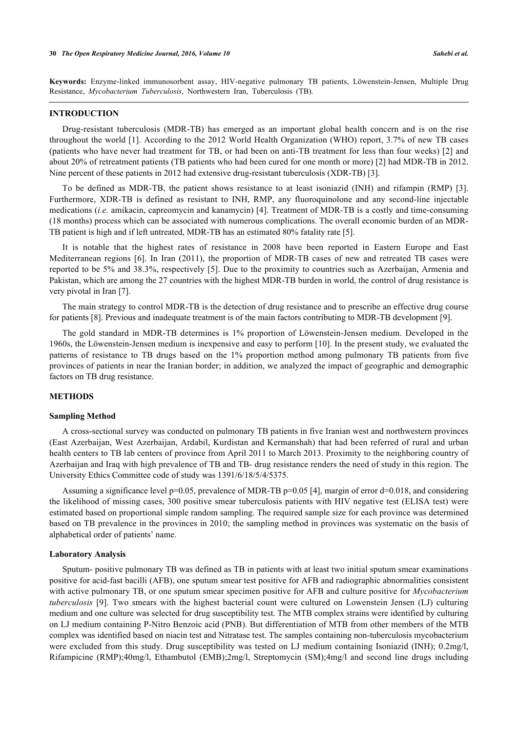**Keywords:** Enzyme-linked immunosorbent assay, HIV-negative pulmonary TB patients, Löwenstein-Jensen, Multiple Drug Resistance, *Mycobacterium Tuberculosis*, Northwestern Iran, Tuberculosis (TB).

#### **INTRODUCTION**

Drug-resistant tuberculosis (MDR-TB) has emerged as an important global health concern and is on the rise throughout the world [\[1](#page-4-0)]. According to the 2012 World Health Organization (WHO) report, 3.7% of new TB cases (patients who have never had treatment for TB, or had been on anti-TB treatment for less than four weeks) [[2](#page-5-0)] and about 20% of retreatment patients (TB patients who had been cured for one month or more) [\[2](#page-5-0)] had MDR-TB in 2012. Nine percent of these patients in 2012 had extensive drug-resistant tuberculosis (XDR-TB) [\[3](#page-5-1)].

To be defined as MDR-TB, the patient shows resistance to at least isoniazid (INH) and rifampin (RMP)[[3\]](#page-5-1). Furthermore, XDR-TB is defined as resistant to INH, RMP, any fluoroquinolone and any second-line injectable medications (*i.e.* amikacin, capreomycin and kanamycin) [[4](#page-5-2)]. Treatment of MDR-TB is a costly and time-consuming (18 months) process which can be associated with numerous complications. The overall economic burden of an MDR-TB patient is high and if left untreated, MDR-TB has an estimated 80% fatality rate [\[5](#page-5-3)].

It is notable that the highest rates of resistance in 2008 have been reported in Eastern Europe and East Mediterranean regions[[6\]](#page-5-4). In Iran (2011), the proportion of MDR-TB cases of new and retreated TB cases were reported to be 5% and 38.3%, respectively [[5](#page-5-3)]. Due to the proximity to countries such as Azerbaijan, Armenia and Pakistan, which are among the 27 countries with the highest MDR-TB burden in world, the control of drug resistance is very pivotal in Iran [\[7](#page-5-5)].

The main strategy to control MDR-TB is the detection of drug resistance and to prescribe an effective drug course for patients [[8\]](#page-5-6). Previous and inadequate treatment is of the main factors contributing to MDR-TB development [\[9](#page-5-7)].

The gold standard in MDR-TB determines is 1% proportion of Löwenstein-Jensen medium. Developed in the 1960s, the Löwenstein-Jensen medium is inexpensive and easy to perform [[10\]](#page-5-8). In the present study, we evaluated the patterns of resistance to TB drugs based on the 1% proportion method among pulmonary TB patients from five provinces of patients in near the Iranian border; in addition, we analyzed the impact of geographic and demographic factors on TB drug resistance.

#### **METHODS**

### **Sampling Method**

A cross-sectional survey was conducted on pulmonary TB patients in five Iranian west and northwestern provinces (East Azerbaijan, West Azerbaijan, Ardabil, Kurdistan and Kermanshah) that had been referred of rural and urban health centers to TB lab centers of province from April 2011 to March 2013. Proximity to the neighboring country of Azerbaijan and Iraq with high prevalence of TB and TB- drug resistance renders the need of study in this region. The University Ethics Committee code of study was 1391/6/18/5/4/5375.

Assuming a significance level  $p=0.05$ , prevalence of MDR-TB  $p=0.05$  [[4\]](#page-5-2), margin of error d=0.018, and considering the likelihood of missing cases, 300 positive smear tuberculosis patients with HIV negative test (ELISA test) were estimated based on proportional simple random sampling. The required sample size for each province was determined based on TB prevalence in the provinces in 2010; the sampling method in provinces was systematic on the basis of alphabetical order of patients' name.

### **Laboratory Analysis**

Sputum- positive pulmonary TB was defined as TB in patients with at least two initial sputum smear examinations positive for acid-fast bacilli (AFB), one sputum smear test positive for AFB and radiographic abnormalities consistent with active pulmonary TB, or one sputum smear specimen positive for AFB and culture positive for *Mycobacterium tuberculosis* [\[9](#page-5-7)]. Two smears with the highest bacterial count were cultured on Lowenstein Jensen (LJ) culturing medium and one culture was selected for drug susceptibility test. The MTB complex strains were identified by culturing on LJ medium containing P-Nitro Benzoic acid (PNB). But differentiation of MTB from other members of the MTB complex was identified based on niacin test and Nitratase test. The samples containing non-tuberculosis mycobacterium were excluded from this study. Drug susceptibility was tested on LJ medium containing Isoniazid (INH); 0.2mg/l, Rifampicine (RMP);40mg/l, Ethambutol (EMB);2mg/l, Streptomycin (SM);4mg/l and second line drugs including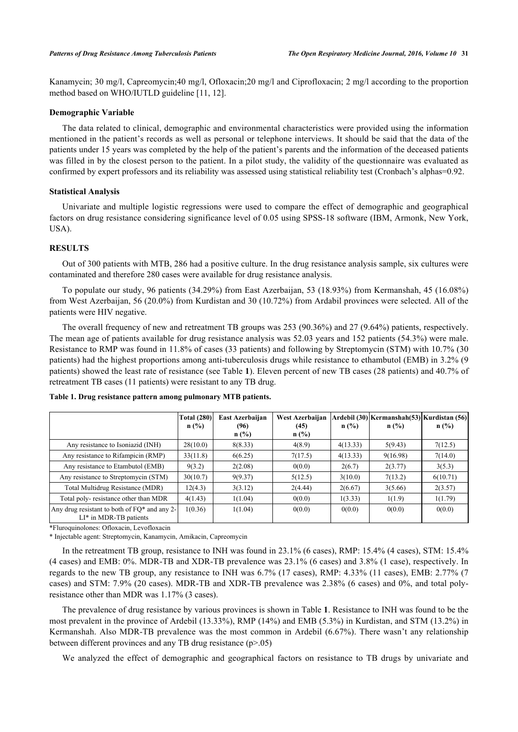Kanamycin; 30 mg/l, Capreomycin;40 mg/l, Ofloxacin;20 mg/l and Ciprofloxacin; 2 mg/l according to the proportion method based on WHO/IUTLD guideline [\[11](#page-5-9), [12](#page-5-10)].

## **Demographic Variable**

The data related to clinical, demographic and environmental characteristics were provided using the information mentioned in the patient's records as well as personal or telephone interviews. It should be said that the data of the patients under 15 years was completed by the help of the patient's parents and the information of the deceased patients was filled in by the closest person to the patient. In a pilot study, the validity of the questionnaire was evaluated as confirmed by expert professors and its reliability was assessed using statistical reliability test (Cronbach's alphas=0.92.

#### **Statistical Analysis**

Univariate and multiple logistic regressions were used to compare the effect of demographic and geographical factors on drug resistance considering significance level of 0.05 using SPSS-18 software (IBM, Armonk, New York, USA).

## **RESULTS**

Out of 300 patients with MTB, 286 had a positive culture. In the drug resistance analysis sample, six cultures were contaminated and therefore 280 cases were available for drug resistance analysis.

To populate our study, 96 patients (34.29%) from East Azerbaijan, 53 (18.93%) from Kermanshah, 45 (16.08%) from West Azerbaijan, 56 (20.0%) from Kurdistan and 30 (10.72%) from Ardabil provinces were selected. All of the patients were HIV negative.

The overall frequency of new and retreatment TB groups was 253 (90.36%) and 27 (9.64%) patients, respectively. The mean age of patients available for drug resistance analysis was 52.03 years and 152 patients (54.3%) were male. Resistance to RMP was found in 11.8% of cases (33 patients) and following by Streptomycin (STM) with 10.7% (30 patients) had the highest proportions among anti-tuberculosis drugs while resistance to ethambutol (EMB) in 3.2% (9 patients) showed the least rate of resistance (see Table **[1](#page-2-0)**). Eleven percent of new TB cases (28 patients) and 40.7% of retreatment TB cases (11 patients) were resistant to any TB drug.

|                                                                              | <b>Total (280)</b><br>n(%) | East Azerbaijan<br>(96)<br>$n$ (%) | West Azerbaijan<br>(45)<br>$n$ (%) | $n$ (%)  | Ardebil (30) Kermanshah(53) Kurdistan (56)<br>$n$ (%) | $n$ (%)  |
|------------------------------------------------------------------------------|----------------------------|------------------------------------|------------------------------------|----------|-------------------------------------------------------|----------|
| Any resistance to Isoniazid (INH)                                            | 28(10.0)                   | 8(8.33)                            | 4(8.9)                             | 4(13.33) | 5(9.43)                                               | 7(12.5)  |
| Any resistance to Rifampicin (RMP)                                           | 33(11.8)                   | 6(6.25)                            | 7(17.5)                            | 4(13.33) | 9(16.98)                                              | 7(14.0)  |
| Any resistance to Etambutol (EMB)                                            | 9(3.2)                     | 2(2.08)                            | 0(0.0)                             | 2(6.7)   | 2(3.77)                                               | 3(5.3)   |
| Any resistance to Streptomycin (STM)                                         | 30(10.7)                   | 9(9.37)                            | 5(12.5)                            | 3(10.0)  | 7(13.2)                                               | 6(10.71) |
| Total Multidrug Resistance (MDR)                                             | 12(4.3)                    | 3(3.12)                            | 2(4.44)                            | 2(6.67)  | 3(5.66)                                               | 2(3.57)  |
| Total poly-resistance other than MDR                                         | 4(1.43)                    | 1(1.04)                            | 0(0.0)                             | 1(3.33)  | 1(1.9)                                                | 1(1.79)  |
| Any drug resistant to both of $FQ^*$ and any 2-<br>$LI^*$ in MDR-TB patients | 1(0.36)                    | 1(1.04)                            | 0(0.0)                             | 0(0.0)   | 0(0.0)                                                | 0(0.0)   |

<span id="page-2-0"></span>**Table 1. Drug resistance pattern among pulmonary MTB patients.**

\*Fluroquinolones: Ofloxacin, Levofloxacin

\* Injectable agent: Streptomycin, Kanamycin, Amikacin, Capreomycin

In the retreatment TB group, resistance to INH was found in 23.1% (6 cases), RMP: 15.4% (4 cases), STM: 15.4% (4 cases) and EMB: 0%. MDR-TB and XDR-TB prevalence was 23.1% (6 cases) and 3.8% (1 case), respectively. In regards to the new TB group, any resistance to INH was 6.7% (17 cases), RMP: 4.33% (11 cases), EMB: 2.77% (7 cases) and STM: 7.9% (20 cases). MDR-TB and XDR-TB prevalence was 2.38% (6 cases) and 0%, and total polyresistance other than MDR was 1.17% (3 cases).

The prevalence of drug resistance by various provinces is shown in Table **[1](#page-2-0)**. Resistance to INH was found to be the most prevalent in the province of Ardebil (13.33%), RMP (14%) and EMB (5.3%) in Kurdistan, and STM (13.2%) in Kermanshah. Also MDR-TB prevalence was the most common in Ardebil (6.67%). There wasn't any relationship between different provinces and any TB drug resistance  $(p>0.05)$ 

We analyzed the effect of demographic and geographical factors on resistance to TB drugs by univariate and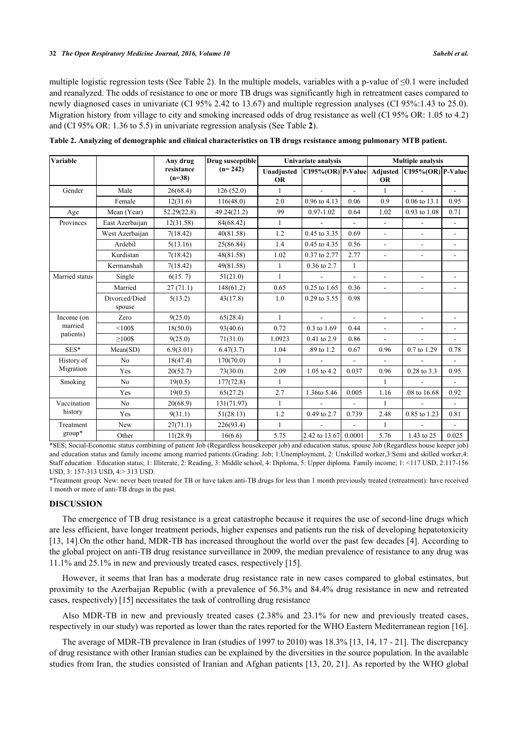multiple logistic regression tests (See Table [2\)](#page-3-0). In the multiple models, variables with a p-value of  $\leq 0.1$  were included and reanalyzed. The odds of resistance to one or more TB drugs was significantly high in retreatment cases compared to newly diagnosed cases in univariate (CI 95% 2.42 to 13.67) and multiple regression analyses (CI 95%:1.43 to 25.0). Migration history from village to city and smoking increased odds of drug resistance as well (CI 95% OR: 1.05 to 4.2) and (CI 95% OR: 1.36 to 5.5) in univariate regression analysis (See Table **[2](#page--1-0)**).

| Variable                           |                         | Any drug               | Drug susceptible<br>$(n=242)$ | Univariate analysis     |                             |                | <b>Multiple analysis</b> |                             |                          |
|------------------------------------|-------------------------|------------------------|-------------------------------|-------------------------|-----------------------------|----------------|--------------------------|-----------------------------|--------------------------|
|                                    |                         | resistance<br>$(n=38)$ |                               | Unadjusted<br><b>OR</b> | $CI95\% (OR)$ P-Value       |                | <b>OR</b>                | Adjusted CI95%(OR) P-Value  |                          |
| Gender                             | Male                    | 26(68.4)               | 126(52.0)                     | $\mathbf{1}$            |                             |                | $\mathbf{1}$             |                             |                          |
|                                    | Female                  | 12(31.6)               | 116(48.0)                     | 2.0                     | 0.96 to 4.13                | 0.06           | 0.9                      | 0.06 to 13.1                | 0.95                     |
| Age                                | Mean (Year)             | 52.29(22.8)            | 49.24(21.2)                   | .99                     | $0.97 - 1.02$               | 0.64           | 1.02                     | 0.93 to 1.08                | 0.71                     |
| Provinces                          | East Azerbaijan         | 12(31.58)              | 84(68.42)                     | 1                       |                             | $\frac{1}{2}$  | $\overline{\phantom{a}}$ |                             | $\overline{\phantom{a}}$ |
|                                    | West Azerbaijan         | 7(18.42)               | 40(81.58)                     | 1.2                     | 0.45 to 3.35                | 0.69           | $\frac{1}{2}$            | $\overline{\phantom{a}}$    | $\overline{\phantom{a}}$ |
|                                    | Ardebil                 | 5(13.16)               | 25(86.84)                     | 1.4                     | 0.45 to 4.35                | 0.56           | $\overline{\phantom{0}}$ | ÷.                          | $\blacksquare$           |
|                                    | Kurdistan               | 7(18.42)               | 48(81.58)                     | 1.02                    | 0.37 to 2.77                | 2.77           | ÷.                       | $\mathcal{L}^{\mathcal{A}}$ | $\overline{a}$           |
|                                    | Kermanshah              | 7(18.42)               | 49(81.58)                     | $\mathbf{1}$            | 0.36 to 2.7                 | $\mathbf{1}$   |                          |                             |                          |
| Married status                     | Single                  | 6(15.7)                | 51(21.0)                      | 1                       |                             | $\overline{a}$ | $\overline{\phantom{a}}$ | $\overline{\phantom{a}}$    | $\overline{a}$           |
|                                    | Married                 | 27(71.1)               | 148(61.2)                     | 0.65                    | 0.25 to 1.65                | 0.36           | $\overline{\phantom{0}}$ | $\overline{\phantom{a}}$    | $\blacksquare$           |
|                                    | Divorced/Died<br>spouse | 5(13.2)                | 43(17.8)                      | 1.0                     | 0.29 to 3.55                | 0.98           |                          |                             |                          |
| Income (on<br>married<br>patients) | Zero                    | 9(25.0)                | 65(28.4)                      | $\mathbf{1}$            | $\mathcal{L}^{\mathcal{L}}$ | $\overline{a}$ | $\overline{\phantom{a}}$ | $\sim$                      | ÷,                       |
|                                    | $< 100$ \$              | 18(50.0)               | 93(40.6)                      | 0.72                    | 0.3 to 1.69                 | 0.44           | ÷.                       | $\blacksquare$              |                          |
|                                    | $>100$ \$               | 9(25.0)                | 71(31.0)                      | 1.0923                  | 0.41 to 2.9                 | 0.86           | ÷,                       | $\blacksquare$              |                          |
| SES*                               | Mean(SD)                | 6.9(3.01)              | 6.47(3.7)                     | 1.04                    | .89 to 1.2                  | 0.67           | 0.96                     | 0.7 to 1.29                 | 0.78                     |
| History of<br>Migration            | N <sub>o</sub>          | 18(47.4)               | 170(70.0)                     | 1                       |                             | $\overline{a}$ | $\overline{\phantom{a}}$ |                             |                          |
|                                    | Yes                     | 20(52.7)               | 73(30.0)                      | 2.09                    | 1.05 to 4.2                 | 0.037          | 0.96                     | 0.28 to 3.3                 | 0.95                     |
| Smoking                            | N <sub>o</sub>          | 19(0.5)                | 177(72.8)                     | $\mathbf{1}$            |                             |                | $\mathbf{1}$             |                             |                          |
|                                    | Yes                     | 19(0.5)                | 65(27.2)                      | 2.7                     | 1.36to 5.46                 | 0.005          | 1.16                     | .08 to 16.68                | 0.92                     |
| Vaccination<br>history             | N <sub>o</sub>          | 20(68.9)               | 131(71.97)                    | $\mathbf{1}$            | $\overline{a}$              | $\overline{a}$ | $\mathbf{1}$             |                             | $\overline{a}$           |
|                                    | Yes                     | 9(31.1)                | 51(28.13)                     | 1.2                     | 0.49 to 2.7                 | 0.739          | 2.48                     | 0.85 to 1.23                | 0.81                     |
| Treatment<br>$group*$              | New                     | 27(71.1)               | 226(93.4)                     | $\mathbf{1}$            | $\sim$                      | $\overline{a}$ | $\mathbf{1}$             |                             | ÷,                       |
|                                    | Other                   | 11(28.9)               | 16(6.6)                       | 5.75                    | 2.42 to 13.67               | 0.0001         | 5.76                     | 1.43 to 25                  | 0.025                    |

<span id="page-3-0"></span>**Table 2. Analyzing of demographic and clinical characteristics on TB drugs resistance among pulmonary MTB patient.**

\*SES; Social-Economic status combining of patient Job (Regardless housekeeper job) and education status, spouse Job (Regardless house keeper job) and education status and family income among married patients.(Grading: Job; 1:Unemployment, 2: Unskilled worker,3:Semi and skilled worker,4: Staff education . Education status; 1: Illiterate, 2: Reading, 3: Middle school, 4: Diploma, 5: Upper diploma. Family income; 1: <117 USD, 2:117-156 USD, 3: 157-313 USD, 4:> 313 USD.

\*Treatment group; New: never been treated for TB or have taken anti-TB drugs for less than 1 month previously treated (retreatment): have received 1 month or more of anti-TB drugs in the past.

## **DISCUSSION**

The emergence of TB drug resistance is a great catastrophe because it requires the use of second-line drugs which are less efficient, have longer treatment periods, higher expenses and patients run the risk of developing hepatotoxicity [\[13](#page-5-11), [14\]](#page-5-12).On the other hand, MDR-TB has increased throughout the world over the past few decades [\[4](#page-5-2)]. According to the global project on anti-TB drug resistance surveillance in 2009, the median prevalence of resistance to any drug was 11.1% and 25.1% in new and previously treated cases, respectively [\[15](#page-5-13)].

However, it seems that Iran has a moderate drug resistance rate in new cases compared to global estimates, but proximity to the Azerbaijan Republic (with a prevalence of 56.3% and 84.4% drug resistance in new and retreated cases, respectively) [\[15](#page-5-13)] necessitates the task of controlling drug resistance

Also MDR-TB in new and previously treated cases (2.38% and 23.1% for new and previously treated cases, respectively in our study) was reported as lower than the rates reported for the WHO Eastern Mediterranean region [[16\]](#page-5-14).

The average of MDR-TB prevalence in Iran (studies of 1997 to 2010) was 18.3% [\[13](#page-5-11), [14](#page-5-12), [17](#page-5-15) - [21](#page-5-16)]. The discrepancy of drug resistance with other Iranian studies can be explained by the diversities in the source population. In the available studies from Iran, the studies consisted of Iranian and Afghan patients [[13,](#page-5-11) [20,](#page-5-17) [21\]](#page-5-16). As reported by the WHO global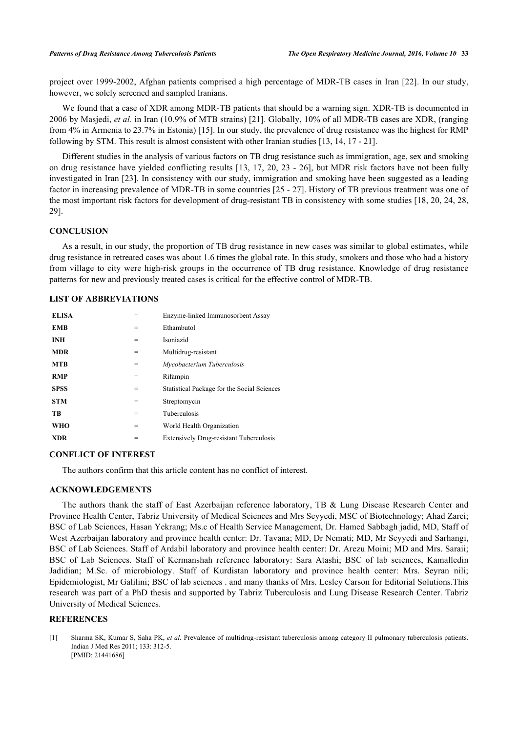project over 1999-2002, Afghan patients comprised a high percentage of MDR-TB cases in Iran [[22\]](#page-5-18). In our study, however, we solely screened and sampled Iranians.

We found that a case of XDR among MDR-TB patients that should be a warning sign. XDR-TB is documented in 2006 by Masjedi, *et al*. in Iran (10.9% of MTB strains) [[21\]](#page-5-16). Globally, 10% of all MDR-TB cases are XDR, (ranging from 4% in Armenia to 23.7% in Estonia) [\[15](#page-5-13)]. In our study, the prevalence of drug resistance was the highest for RMP following by STM. This result is almost consistent with other Iranian studies [[13,](#page-5-11) [14,](#page-5-12) [17](#page-5-15) - [21](#page-5-16)].

Different studies in the analysis of various factors on TB drug resistance such as immigration, age, sex and smoking on drug resistance have yielded conflicting results [[13,](#page-5-11) [17](#page-5-15), [20](#page-5-17), [23](#page-5-19) - [26](#page-6-0)], but MDR risk factors have not been fully investigated in Iran [\[23\]](#page-5-19). In consistency with our study, immigration and smoking have been suggested as a leading factor in increasing prevalence of MDR-TB in some countries [[25](#page-6-1) - [27](#page-6-2)]. History of TB previous treatment was one of the most important risk factors for development of drug-resistant TB in consistency with some studies [[18,](#page-5-20) [20](#page-5-17), [24,](#page-6-3) [28](#page-6-4), [29\]](#page-6-5).

#### **CONCLUSION**

As a result, in our study, the proportion of TB drug resistance in new cases was similar to global estimates, while drug resistance in retreated cases was about 1.6 times the global rate. In this study, smokers and those who had a history from village to city were high-risk groups in the occurrence of TB drug resistance. Knowledge of drug resistance patterns for new and previously treated cases is critical for the effective control of MDR-TB.

## **LIST OF ABBREVIATIONS**

| <b>ELISA</b> |     | Enzyme-linked Immunosorbent Assay              |
|--------------|-----|------------------------------------------------|
| <b>EMB</b>   | =   | Ethambutol                                     |
| <b>INH</b>   | $=$ | Isoniazid                                      |
| <b>MDR</b>   | $=$ | Multidrug-resistant                            |
| <b>MTB</b>   | =   | Mycobacterium Tuberculosis                     |
| <b>RMP</b>   | $=$ | Rifampin                                       |
| <b>SPSS</b>  | =   | Statistical Package for the Social Sciences    |
| <b>STM</b>   | $=$ | Streptomycin                                   |
| TB           | =   | Tuberculosis                                   |
| <b>WHO</b>   | $=$ | World Health Organization                      |
| <b>XDR</b>   | =   | <b>Extensively Drug-resistant Tuberculosis</b> |

## **CONFLICT OF INTEREST**

The authors confirm that this article content has no conflict of interest.

## **ACKNOWLEDGEMENTS**

The authors thank the staff of East Azerbaijan reference laboratory, TB & Lung Disease Research Center and Province Health Center, Tabriz University of Medical Sciences and Mrs Seyyedi, MSC of Biotechnology; Ahad Zarei; BSC of Lab Sciences, Hasan Yekrang; Ms.c of Health Service Management, Dr. Hamed Sabbagh jadid, MD, Staff of West Azerbaijan laboratory and province health center: Dr. Tavana; MD, Dr Nemati; MD, Mr Seyyedi and Sarhangi, BSC of Lab Sciences. Staff of Ardabil laboratory and province health center: Dr. Arezu Moini; MD and Mrs. Saraii; BSC of Lab Sciences. Staff of Kermanshah reference laboratory: Sara Atashi; BSC of lab sciences, Kamalledin Jadidian; M.Sc. of microbiology. Staff of Kurdistan laboratory and province health center: Mrs. Seyran nili; Epidemiologist, Mr Galilini; BSC of lab sciences . and many thanks of Mrs. Lesley Carson for Editorial Solutions.This research was part of a PhD thesis and supported by Tabriz Tuberculosis and Lung Disease Research Center. Tabriz University of Medical Sciences.

#### **REFERENCES**

<span id="page-4-0"></span>[1] Sharma SK, Kumar S, Saha PK, *et al.* Prevalence of multidrug-resistant tuberculosis among category II pulmonary tuberculosis patients. Indian J Med Res 2011; 133: 312-5. [PMID: [21441686\]](http://www.ncbi.nlm.nih.gov/pubmed/21441686)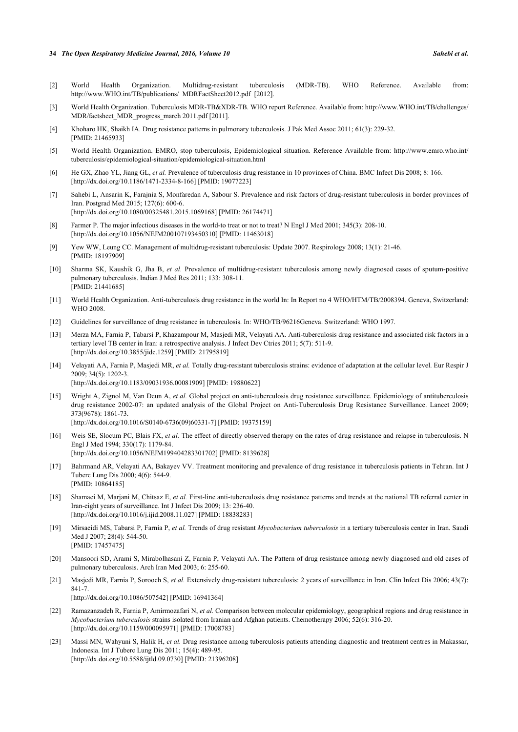#### **34** *The Open Respiratory Medicine Journal, 2016, Volume 10 Sahebi et al.*

- <span id="page-5-0"></span>[2] World Health Organization. Multidrug-resistant tuberculosis (MDR-TB). WHO Reference. Available from: [http://www.WHO.int/TB/publications/ MDRFactSheet2012.pdf](http://www.WHO.int/TB/publications/%20MDRFactSheet2012.pdf) [2012].
- <span id="page-5-1"></span>[3] World Health Organization. Tuberculosis MDR-TB&XDR-TB. WHO report Reference. Available from: [http://www.WHO.int/TB/challenges/](http://www.WHO.int/TB/challenges/%20MDR/factsheet_MDR_progress_march%202011.pdf) [MDR/factsheet\\_MDR\\_progress\\_march 2011.pdf](http://www.WHO.int/TB/challenges/%20MDR/factsheet_MDR_progress_march%202011.pdf) [2011].
- <span id="page-5-2"></span>[4] Khoharo HK, Shaikh IA. Drug resistance patterns in pulmonary tuberculosis. J Pak Med Assoc 2011; 61(3): 229-32. [PMID: [21465933\]](http://www.ncbi.nlm.nih.gov/pubmed/21465933)
- <span id="page-5-3"></span>[5] World Health Organization. EMRO, stop tuberculosis, Epidemiological situation. Reference Available from: [http://www.emro.who.int/](http://www.emro.who.int/tuberculosis/%20epidemiological-situation/epidemiological-situation.html) [tuberculosis/epidemiological-situation/epidemiological-situation.html](http://www.emro.who.int/tuberculosis/%20epidemiological-situation/epidemiological-situation.html)
- <span id="page-5-4"></span>[6] He GX, Zhao YL, Jiang GL, *et al.* Prevalence of tuberculosis drug resistance in 10 provinces of China. BMC Infect Dis 2008; 8: 166. [\[http://dx.doi.org/10.1186/1471-2334-8-166\]](http://dx.doi.org/10.1186/1471-2334-8-166) [PMID: [19077223](http://www.ncbi.nlm.nih.gov/pubmed/19077223)]
- <span id="page-5-5"></span>[7] Sahebi L, Ansarin K, Farajnia S, Monfaredan A, Sabour S. Prevalence and risk factors of drug-resistant tuberculosis in border provinces of Iran. Postgrad Med 2015; 127(6): 600-6. [\[http://dx.doi.org/10.1080/00325481.2015.1069168\]](http://dx.doi.org/10.1080/00325481.2015.1069168) [PMID: [26174471](http://www.ncbi.nlm.nih.gov/pubmed/26174471)]
- <span id="page-5-6"></span>[8] Farmer P. The major infectious diseases in the world-to treat or not to treat? N Engl J Med 2001; 345(3): 208-10. [\[http://dx.doi.org/10.1056/NEJM200107193450310\]](http://dx.doi.org/10.1056/NEJM200107193450310) [PMID: [11463018](http://www.ncbi.nlm.nih.gov/pubmed/11463018)]
- <span id="page-5-7"></span>[9] Yew WW, Leung CC. Management of multidrug-resistant tuberculosis: Update 2007. Respirology 2008; 13(1): 21-46. [PMID: [18197909\]](http://www.ncbi.nlm.nih.gov/pubmed/18197909)
- <span id="page-5-8"></span>[10] Sharma SK, Kaushik G, Jha B, *et al.* Prevalence of multidrug-resistant tuberculosis among newly diagnosed cases of sputum-positive pulmonary tuberculosis. Indian J Med Res 2011; 133: 308-11. [PMID: [21441685\]](http://www.ncbi.nlm.nih.gov/pubmed/21441685)
- <span id="page-5-9"></span>[11] World Health Organization. Anti-tuberculosis drug resistance in the world In: In Report no 4 WHO/HTM/TB/2008394. Geneva, Switzerland: WHO 2008.
- <span id="page-5-10"></span>[12] Guidelines for surveillance of drug resistance in tuberculosis. In: WHO/TB/96216Geneva. Switzerland: WHO 1997.
- <span id="page-5-11"></span>[13] Merza MA, Farnia P, Tabarsi P, Khazampour M, Masjedi MR, Velayati AA. Anti-tuberculosis drug resistance and associated risk factors in a tertiary level TB center in Iran: a retrospective analysis. J Infect Dev Ctries 2011; 5(7): 511-9. [\[http://dx.doi.org/10.3855/jidc.1259\]](http://dx.doi.org/10.3855/jidc.1259) [PMID: [21795819](http://www.ncbi.nlm.nih.gov/pubmed/21795819)]
- <span id="page-5-12"></span>[14] Velayati AA, Farnia P, Masjedi MR, *et al.* Totally drug-resistant tuberculosis strains: evidence of adaptation at the cellular level. Eur Respir J 2009; 34(5): 1202-3. [\[http://dx.doi.org/10.1183/09031936.00081909\]](http://dx.doi.org/10.1183/09031936.00081909) [PMID: [19880622](http://www.ncbi.nlm.nih.gov/pubmed/19880622)]
- <span id="page-5-13"></span>[15] Wright A, Zignol M, Van Deun A, *et al.* Global project on anti-tuberculosis drug resistance surveillance. Epidemiology of antituberculosis drug resistance 2002-07: an updated analysis of the Global Project on Anti-Tuberculosis Drug Resistance Surveillance. Lancet 2009; 373(9678): 1861-73. [\[http://dx.doi.org/10.1016/S0140-6736\(09\)60331-7\]](http://dx.doi.org/10.1016/S0140-6736(09)60331-7) [PMID: [19375159](http://www.ncbi.nlm.nih.gov/pubmed/19375159)]
- <span id="page-5-14"></span>[16] Weis SE, Slocum PC, Blais FX, *et al.* The effect of directly observed therapy on the rates of drug resistance and relapse in tuberculosis. N Engl J Med 1994; 330(17): 1179-84. [\[http://dx.doi.org/10.1056/NEJM199404283301702\]](http://dx.doi.org/10.1056/NEJM199404283301702) [PMID: [8139628](http://www.ncbi.nlm.nih.gov/pubmed/8139628)]
- <span id="page-5-15"></span>[17] Bahrmand AR, Velayati AA, Bakayev VV. Treatment monitoring and prevalence of drug resistance in tuberculosis patients in Tehran. Int J Tuberc Lung Dis 2000; 4(6): 544-9. [PMID: [10864185\]](http://www.ncbi.nlm.nih.gov/pubmed/10864185)
- <span id="page-5-20"></span>[18] Shamaei M, Marjani M, Chitsaz E, *et al.* First-line anti-tuberculosis drug resistance patterns and trends at the national TB referral center in Iran-eight years of surveillance. Int J Infect Dis 2009; 13: 236-40. [\[http://dx.doi.org/10.1016/j.ijid.2008.11.027\]](http://dx.doi.org/10.1016/j.ijid.2008.11.027) [PMID: [18838283](http://www.ncbi.nlm.nih.gov/pubmed/18838283)]
- [19] Mirsaeidi MS, Tabarsi P, Farnia P, *et al.* Trends of drug resistant *Mycobacterium tuberculosis* in a tertiary tuberculosis center in Iran. Saudi Med J 2007; 28(4): 544-50. [PMID: [17457475\]](http://www.ncbi.nlm.nih.gov/pubmed/17457475)
- <span id="page-5-17"></span>[20] Mansoori SD, Arami S, Mirabolhasani Z, Farnia P, Velayati AA. The Pattern of drug resistance among newly diagnosed and old cases of pulmonary tuberculosis. Arch Iran Med 2003; 6: 255-60.
- <span id="page-5-16"></span>[21] Masjedi MR, Farnia P, Sorooch S, *et al.* Extensively drug-resistant tuberculosis: 2 years of surveillance in Iran. Clin Infect Dis 2006; 43(7): 841-7.

[\[http://dx.doi.org/10.1086/507542\]](http://dx.doi.org/10.1086/507542) [PMID: [16941364](http://www.ncbi.nlm.nih.gov/pubmed/16941364)]

- <span id="page-5-18"></span>[22] Ramazanzadeh R, Farnia P, Amirmozafari N, *et al.* Comparison between molecular epidemiology, geographical regions and drug resistance in *Mycobacterium tuberculosis* strains isolated from Iranian and Afghan patients. Chemotherapy 2006; 52(6): 316-20. [\[http://dx.doi.org/10.1159/000095971\]](http://dx.doi.org/10.1159/000095971) [PMID: [17008783](http://www.ncbi.nlm.nih.gov/pubmed/17008783)]
- <span id="page-5-19"></span>[23] Massi MN, Wahyuni S, Halik H, *et al.* Drug resistance among tuberculosis patients attending diagnostic and treatment centres in Makassar, Indonesia. Int J Tuberc Lung Dis 2011; 15(4): 489-95. [\[http://dx.doi.org/10.5588/ijtld.09.0730\]](http://dx.doi.org/10.5588/ijtld.09.0730) [PMID: [21396208](http://www.ncbi.nlm.nih.gov/pubmed/21396208)]